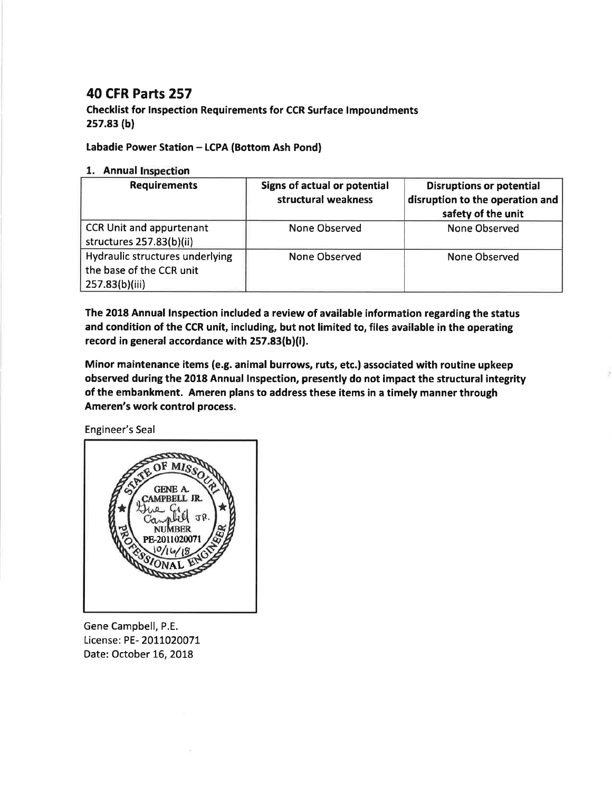## 40 cFR Parts 257

## Checklist for Inspection Requirements for CCR Surface lmpoundments 2s7.83 (b)

## Labadie Power Station - LCPA (Bottom Ash Pond)

## 1. Annual Inspection

| <b>Requirements</b>                                                           | Signs of actual or potential<br>structural weakness | <b>Disruptions or potential</b><br>disruption to the operation and<br>safety of the unit |
|-------------------------------------------------------------------------------|-----------------------------------------------------|------------------------------------------------------------------------------------------|
| <b>CCR Unit and appurtenant</b><br>structures 257.83(b)(ii)                   | None Observed                                       | None Observed                                                                            |
| Hydraulic structures underlying<br>the base of the CCR unit<br>257.83(b)(iii) | None Observed                                       | None Observed                                                                            |

The 2018 Annual lnspection included a review of available information regarding the status and condition of the CCR unit, including, but not limited to, files available in the operating record in general accordance with 257.83(b)(i).

Minor maintenance items {e.g. animal burrows, ruts, etc.) associated with routine upkeep observed during the 2018 Annual lnspection, presently do not impact the structural integrity of the embankment. Ameren plans to address these items in a timely manner through Ameren's work control process.

Engineer's Seal



Gene Campbell, P.E. License: PE- 2011020071 Date: October 16, 2018